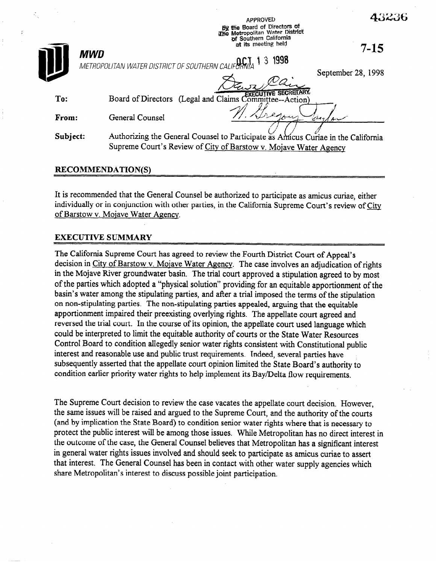43236

|          | The Metropolitan Water District<br>of Southern California<br>at its meeting held<br>$7 - 15$ |
|----------|----------------------------------------------------------------------------------------------|
|          | MWD<br>1998<br>3<br>METROPOLITAN WATER DISTRICT OF SOUTHERN CALIFORNIA                       |
|          | September 28, 1998                                                                           |
| To:      | Board of Directors (Legal and Claims Committee--Action)                                      |
| From:    | General Counsel<br>'an                                                                       |
| Subject: | Authorizing the General Counsel to Participate as Amicus Curiae in the California            |
|          | Supreme Court's Review of City of Barstow v. Mojave Water Agency                             |
|          | <b>RECOMMENDATION(S)</b>                                                                     |

APPROVED 6% the Board of Directors Of

It is recommended that the General Counsel be authorized to participate as amicus curiae, either individually or in conjunction with other parties, in the California Supreme Court's review of City of Barstow v. Mojave Water Agency.

## EXECUTIVE SUMMARY

The California Supreme Court has agreed to review the Fourth District Court of Appeal's decision in City of Barstow v. Mojave Water Agency. The case involves an adjudication of rights in the Mojave River groundwater basin. The trial court approved a stipulation agreed to by most of the parties which adopted a "physical solution" providing for an equitable apportionment of the basin's water among the stipulating parties, and after a trial imposed the terms of the stipulation on non-stipulating parties. The non-stipulating parties appealed, arguing that the equitable apportionment impaired their preexisting overlying rights. The appellate court agreed and reversed the trial court. In the course of its opinion, the appellate court used language which could be interpreted to limit the equitable authority of courts or the State Water Resources Control Board to condition allegedly senior water rights consistent with Constitutional public interest and reasonable use and public trust requirements. Indeed, several parties have subsequently asserted that the appellate court opinion limited the State Board's authority to condition earlier priority water rights to help implement its Bay/Delta flow requirements.

The Supreme Court decision to review the case vacates the appellate court decision. However, the same issues will be raised and argued to the Supreme Court, and the authority of the courts (and by implication the State Board) to condition senior water rights where that is necessary to protect the public interest will be among those issues. While Metropolitan has no direct interest in the outcome of the case, the General Counsel believes that Metropolitan has a significant interest in general water rights issues involved and should seek to participate as amicus curiae to assert that interest. The General Counsel has been in contact with other water supply agencies which share Metropolitan's interest to discuss possible joint participation.